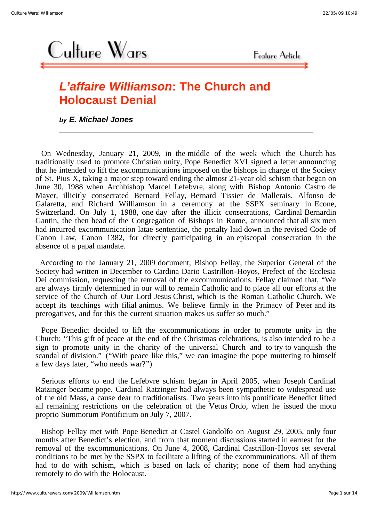

Feature Article

## *L'affaire Williamson***: The Church and Holocaust Denial**

*by E. Michael Jones*

 On Wednesday, January 21, 2009, in the middle of the week which the Church has traditionally used to promote Christian unity, Pope Benedict XVI signed a letter announcing that he intended to lift the excommunications imposed on the bishops in charge of the Society of St. Pius X, taking a major step toward ending the almost 21-year old schism that began on June 30, 1988 when Archbishop Marcel Lefebvre, along with Bishop Antonio Castro de Mayer, illicitly consecrated Bernard Fellay, Bernard Tissier de Mallerais, Alfonso de Galaretta, and Richard Williamson in a ceremony at the SSPX seminary in Econe, Switzerland. On July 1, 1988, one day after the illicit consecrations, Cardinal Bernardin Gantin, the then head of the Congregation of Bishops in Rome, announced that all six men had incurred excommunication latae sententiae, the penalty laid down in the revised Code of Canon Law, Canon 1382, for directly participating in an episcopal consecration in the absence of a papal mandate.

 According to the January 21, 2009 document, Bishop Fellay, the Superior General of the Society had written in December to Cardina Dario Castrillon-Hoyos, Prefect of the Ecclesia Dei commission, requesting the removal of the excommunications. Fellay claimed that, "We are always firmly determined in our will to remain Catholic and to place all our efforts at the service of the Church of Our Lord Jesus Christ, which is the Roman Catholic Church. We accept its teachings with filial animus. We believe firmly in the Primacy of Peter and its prerogatives, and for this the current situation makes us suffer so much."

Pope Benedict decided to lift the excommunications in order to promote unity in the Church: "This gift of peace at the end of the Christmas celebrations, is also intended to be a sign to promote unity in the charity of the universal Church and to try to vanquish the scandal of division." ("With peace like this," we can imagine the pope muttering to himself a few days later, "who needs war?")

Serious efforts to end the Lefebvre schism began in April 2005, when Joseph Cardinal Ratzinger became pope. Cardinal Ratzinger had always been sympathetic to widespread use of the old Mass, a cause dear to traditionalists. Two years into his pontificate Benedict lifted all remaining restrictions on the celebration of the Vetus Ordo, when he issued the motu proprio Summorum Pontificium on July 7, 2007.

Bishop Fellay met with Pope Benedict at Castel Gandolfo on August 29, 2005, only four months after Benedict's election, and from that moment discussions started in earnest for the removal of the excommunications. On June 4, 2008, Cardinal Castrillon-Hoyos set several conditions to be met by the SSPX to facilitate a lifting of the excommunications. All of them had to do with schism, which is based on lack of charity; none of them had anything remotely to do with the Holocaust.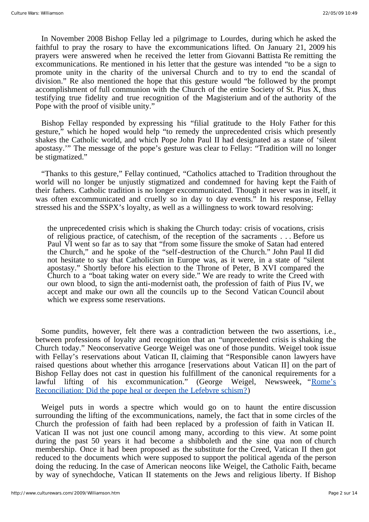In November 2008 Bishop Fellay led a pilgrimage to Lourdes, during which he asked the faithful to pray the rosary to have the excommunications lifted. On January 21, 2009 his prayers were answered when he received the letter from Giovanni Battista Re remitting the excommunications. Re mentioned in his letter that the gesture was intended "to be a sign to promote unity in the charity of the universal Church and to try to end the scandal of division." Re also mentioned the hope that this gesture would "be followed by the prompt accomplishment of full communion with the Church of the entire Society of St. Pius X, thus testifying true fidelity and true recognition of the Magisterium and of the authority of the Pope with the proof of visible unity."

Bishop Fellay responded by expressing his "filial gratitude to the Holy Father for this gesture," which he hoped would help "to remedy the unprecedented crisis which presently shakes the Catholic world, and which Pope John Paul II had designated as a state of 'silent apostasy.'" The message of the pope's gesture was clear to Fellay: "Tradition will no longer be stigmatized."

"Thanks to this gesture," Fellay continued, "Catholics attached to Tradition throughout the world will no longer be unjustly stigmatized and condemned for having kept the Faith of their fathers. Catholic tradition is no longer excommunicated. Though it never was in itself, it was often excommunicated and cruelly so in day to day events." In his response, Fellay stressed his and the SSPX's loyalty, as well as a willingness to work toward resolving:

the unprecedented crisis which is shaking the Church today: crisis of vocations, crisis of religious practice, of catechism, of the reception of the sacraments . . . Before us Paul VI went so far as to say that "from some fissure the smoke of Satan had entered the Church," and he spoke of the "self-destruction of the Church." John Paul II did not hesitate to say that Catholicism in Europe was, as it were, in a state of "silent apostasy." Shortly before his election to the Throne of Peter, B XVI compared the Church to a "boat taking water on every side." We are ready to write the Creed with our own blood, to sign the anti-modernist oath, the profession of faith of Pius IV, we accept and make our own all the councils up to the Second Vatican Council about which we express some reservations.

Some pundits, however, felt there was a contradiction between the two assertions, i.e., between professions of loyalty and recognition that an "unprecedented crisis is shaking the Church today." Neoconservative George Weigel was one of those pundits. Weigel took issue with Fellay's reservations about Vatican II, claiming that "Responsible canon lawyers have raised questions about whether this arrogance [reservations about Vatican II] on the part of Bishop Fellay does not cast in question his fulfillment of the canonical requirements for a lawful lifting of his excommunication." (George Weigel, Newsweek, "Rome's Reconciliation: Did the pope heal or deepen the Lefebvre schism?)

Weigel puts in words a spectre which would go on to haunt the entire discussion surrounding the lifting of the excommunications, namely, the fact that in some circles of the Church the profession of faith had been replaced by a profession of faith in Vatican II. Vatican II was not just one council among many, according to this view. At some point during the past 50 years it had become a shibboleth and the sine qua non of church membership. Once it had been proposed as the substitute for the Creed, Vatican II then got reduced to the documents which were supposed to support the political agenda of the person doing the reducing. In the case of American neocons like Weigel, the Catholic Faith, became by way of synechdoche, Vatican II statements on the Jews and religious liberty. If Bishop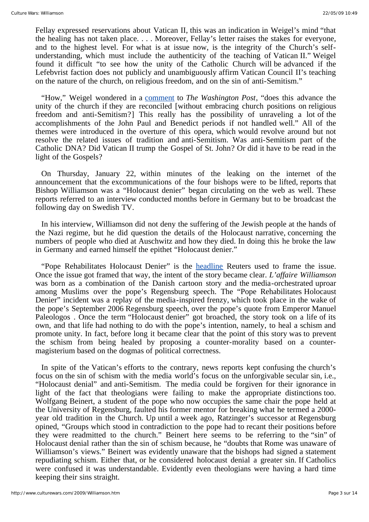Fellay expressed reservations about Vatican II, this was an indication in Weigel's mind "that the healing has not taken place. . . . Moreover, Fellay's letter raises the stakes for everyone, and to the highest level. For what is at issue now, is the integrity of the Church's selfunderstanding, which must include the authenticity of the teaching of Vatican II." Weigel found it difficult "to see how the unity of the Catholic Church will be advanced if the Lefebvrist faction does not publicly and unambiguously affirm Vatican Council II's teaching on the nature of the church, on religious freedom, and on the sin of anti-Semitism."

"How," Weigel wondered in a comment to *The Washington Post*, "does this advance the unity of the church if they are reconciled [without embracing church positions on religious freedom and anti-Semitism?] This really has the possibility of unraveling a lot of the accomplishments of the John Paul and Benedict periods if not handled well." All of the themes were introduced in the overture of this opera, which would revolve around but not resolve the related issues of tradition and anti-Semitism. Was anti-Semitism part of the Catholic DNA? Did Vatican II trump the Gospel of St. John? Or did it have to be read in the light of the Gospels?

On Thursday, January 22, within minutes of the leaking on the internet of the announcement that the excommunications of the four bishops were to be lifted, reports that Bishop Williamson was a "Holocaust denier" began circulating on the web as well. These reports referred to an interview conducted months before in Germany but to be broadcast the following day on Swedish TV.

In his interview, Williamson did not deny the suffering of the Jewish people at the hands of the Nazi regime, but he did question the details of the Holocaust narrative, concerning the numbers of people who died at Auschwitz and how they died. In doing this he broke the law in Germany and earned himself the epithet "Holocaust denier."

"Pope Rehabilitates Holocaust Denier" is the headline Reuters used to frame the issue. Once the issue got framed that way, the intent of the story became clear. *L'affaire Williamson* was born as a combination of the Danish cartoon story and the media-orchestrated uproar among Muslims over the pope's Regensburg speech. The "Pope Rehabilitates Holocaust Denier" incident was a replay of the media-inspired frenzy, which took place in the wake of the pope's September 2006 Regensburg speech, over the pope's quote from Emperor Manuel Paleologos . Once the term "Holocaust denier" got broached, the story took on a life of its own, and that life had nothing to do with the pope's intention, namely, to heal a schism and promote unity. In fact, before long it became clear that the point of this story was to prevent the schism from being healed by proposing a counter-morality based on a countermagisterium based on the dogmas of political correctness.

In spite of the Vatican's efforts to the contrary, news reports kept confusing the church's focus on the sin of schism with the media world's focus on the unforgivable secular sin, i.e., "Holocaust denial" and anti-Semitism. The media could be forgiven for their ignorance in light of the fact that theologians were failing to make the appropriate distinctions too. Wolfgang Beinert, a student of the pope who now occupies the same chair the pope held at the University of Regensburg, faulted his former mentor for breaking what he termed a 2000 year old tradition in the Church. Up until a week ago, Ratzinger's successor at Regensburg opined, "Groups which stood in contradiction to the pope had to recant their positions before they were readmitted to the church." Beinert here seems to be referring to the "sin" of Holocaust denial rather than the sin of schism because, he "doubts that Rome was unaware of Williamson's views." Beinert was evidently unaware that the bishops had signed a statement repudiating schism. Either that, or he considered holocaust denial a greater sin. If Catholics were confused it was understandable. Evidently even theologians were having a hard time keeping their sins straight.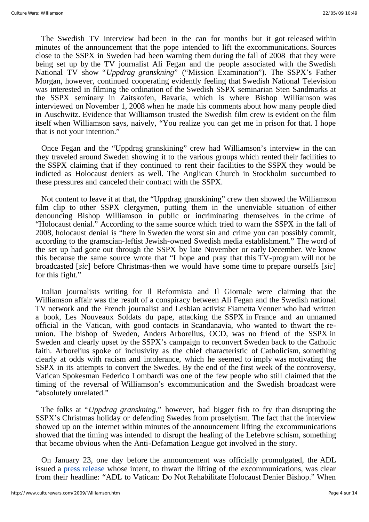The Swedish TV interview had been in the can for months but it got released within minutes of the announcement that the pope intended to lift the excommunications. Sources close to the SSPX in Sweden had been warning them during the fall of 2008 that they were being set up by the TV journalist Ali Fegan and the people associated with the Swedish National TV show "*Uppdrag granskning*" ("Mission Examination"). The SSPX's Father Morgan, however, continued cooperating evidently feeling that Swedish National Television was interested in filming the ordination of the Swedish SSPX seminarian Sten Sandmarks at the SSPX seminary in Zaitskofen, Bavaria, which is where Bishop Williamson was interviewed on November 1, 2008 when he made his comments about how many people died in Auschwitz. Evidence that Williamson trusted the Swedish film crew is evident on the film itself when Williamson says, naively, "You realize you can get me in prison for that. I hope that is not your intention."

Once Fegan and the "Uppdrag granskining" crew had Williamson's interview in the can they traveled around Sweden showing it to the various groups which rented their facilities to the SSPX claiming that if they continued to rent their facilities to the SSPX they would be indicted as Holocaust deniers as well. The Anglican Church in Stockholm succumbed to these pressures and canceled their contract with the SSPX.

Not content to leave it at that, the "Uppdrag granskining" crew then showed the Williamson film clip to other SSPX clergymen, putting them in the unenviable situation of either denouncing Bishop Williamson in public or incriminating themselves in the crime of "Holocaust denial." According to the same source which tried to warn the SSPX in the fall of 2008, holocaust denial is "here in Sweden the worst sin and crime you can possibly commit, according to the gramscian-leftist Jewish-owned Swedish media establishment." The word of the set up had gone out through the SSPX by late November or early December. We know this because the same source wrote that "I hope and pray that this TV-program will not be broadcasted [*sic*] before Christmas-then we would have some time to prepare ourselfs [*sic*] for this fight."

Italian journalists writing for Il Reformista and Il Giornale were claiming that the Williamson affair was the result of a conspiracy between Ali Fegan and the Swedish national TV network and the French journalist and Lesbian activist Fiametta Venner who had written a book, Les Nouveaux Soldats du pape, attacking the SSPX in France and an unnamed official in the Vatican, with good contacts in Scandanavia, who wanted to thwart the reunion. The bishop of Sweden, Anders Arborelius, OCD, was no friend of the SSPX in Sweden and clearly upset by the SSPX's campaign to reconvert Sweden back to the Catholic faith. Arborelius spoke of inclusivity as the chief characteristic of Catholicism, something clearly at odds with racism and intolerance, which he seemed to imply was motivating the SSPX in its attempts to convert the Swedes. By the end of the first week of the controversy, Vatican Spokesman Federico Lombardi was one of the few people who still claimed that the timing of the reversal of Williamson's excommunication and the Swedish broadcast were "absolutely unrelated."

The folks at "*Uppdrag granskning*," however, had bigger fish to fry than disrupting the SSPX's Christmas holiday or defending Swedes from proselytism. The fact that the interview showed up on the internet within minutes of the announcement lifting the excommunications showed that the timing was intended to disrupt the healing of the Lefebvre schism, something that became obvious when the Anti-Defamation League got involved in the story.

On January 23, one day before the announcement was officially promulgated, the ADL issued a press release whose intent, to thwart the lifting of the excommunications, was clear from their headline: "ADL to Vatican: Do Not Rehabilitate Holocaust Denier Bishop." When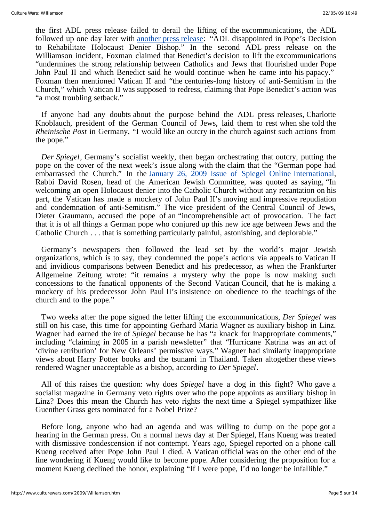the first ADL press release failed to derail the lifting of the excommunications, the ADL followed up one day later with another press release: "ADL disappointed in Pope's Decision to Rehabilitate Holocaust Denier Bishop." In the second ADL press release on the Williamson incident, Foxman claimed that Benedict's decision to lift the excommunications "undermines the strong relationship between Catholics and Jews that flourished under Pope John Paul II and which Benedict said he would continue when he came into his papacy." Foxman then mentioned Vatican II and "the centuries-long history of anti-Semitism in the Church," which Vatican II was supposed to redress, claiming that Pope Benedict's action was "a most troubling setback."

If anyone had any doubts about the purpose behind the ADL press releases, Charlotte Knoblauch, president of the German Council of Jews, laid them to rest when she told the *Rheinische Post* in Germany, "I would like an outcry in the church against such actions from the pope."

*Der Spiegel*, Germany's socialist weekly, then began orchestrating that outcry, putting the pope on the cover of the next week's issue along with the claim that the "German pope had embarrassed the Church." In the <u>January 26, 2009 issue of Spiegel Online International</u>, Rabbi David Rosen, head of the American Jewish Committee, was quoted as saying, "In welcoming an open Holocaust denier into the Catholic Church without any recantation on his part, the Vatican has made a mockery of John Paul II's moving and impressive repudiation and condemnation of anti-Semitism." The vice president of the Central Council of Jews, Dieter Graumann, accused the pope of an "incomprehensible act of provocation. The fact that it is of all things a German pope who conjured up this new ice age between Jews and the Catholic Church . . . that is something particularly painful, astonishing, and deplorable."

Germany's newspapers then followed the lead set by the world's major Jewish organizations, which is to say, they condemned the pope's actions via appeals to Vatican II and invidious comparisons between Benedict and his predecessor, as when the Frankfurter Allgemeine Zeitung wrote: "it remains a mystery why the pope is now making such concessions to the fanatical opponents of the Second Vatican Council, that he is making a mockery of his predecessor John Paul II's insistence on obedience to the teachings of the church and to the pope."

Two weeks after the pope signed the letter lifting the excommunications, *Der Spiegel* was still on his case, this time for appointing Gerhard Maria Wagner as auxiliary bishop in Linz. Wagner had earned the ire of *Spiegel* because he has "a knack for inappropriate comments," including "claiming in 2005 in a parish newsletter" that "Hurricane Katrina was an act of 'divine retribution' for New Orleans' permissive ways." Wagner had similarly inappropriate views about Harry Potter books and the tsunami in Thailand. Taken altogether these views rendered Wagner unacceptable as a bishop, according to *Der Spiegel*.

All of this raises the question: why does *Spiegel* have a dog in this fight? Who gave a socialist magazine in Germany veto rights over who the pope appoints as auxiliary bishop in Linz? Does this mean the Church has veto rights the next time a Spiegel sympathizer like Guenther Grass gets nominated for a Nobel Prize?

Before long, anyone who had an agenda and was willing to dump on the pope got a hearing in the German press. On a normal news day at Der Spiegel, Hans Kueng was treated with dismissive condescension if not contempt. Years ago, Spiegel reported on a phone call Kueng received after Pope John Paul I died. A Vatican official was on the other end of the line wondering if Kueng would like to become pope. After considering the proposition for a moment Kueng declined the honor, explaining "If I were pope, I'd no longer be infallible."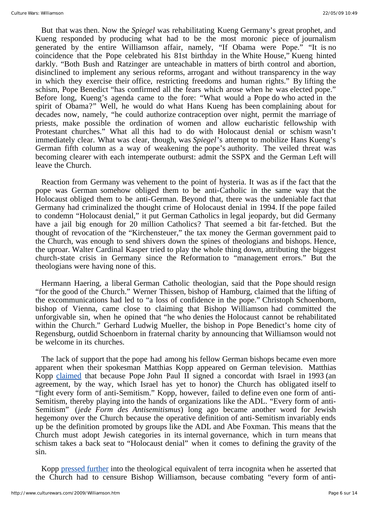But that was then. Now the *Spiegel* was rehabilitating Kueng Germany's great prophet, and Kueng responded by producing what had to be the most moronic piece of journalism generated by the entire Williamson affair, namely, "If Obama were Pope." "It is no coincidence that the Pope celebrated his 81st birthday in the White House," Kueng hinted darkly. "Both Bush and Ratzinger are unteachable in matters of birth control and abortion, disinclined to implement any serious reforms, arrogant and without transparency in the way in which they exercise their office, restricting freedoms and human rights." By lifting the schism, Pope Benedict "has confirmed all the fears which arose when he was elected pope." Before long, Kueng's agenda came to the fore: "What would a Pope do who acted in the spirit of Obama?" Well, he would do what Hans Kueng has been complaining about for decades now, namely, "he could authorize contraception over night, permit the marriage of priests, make possible the ordination of women and allow eucharistic fellowship with Protestant churches." What all this had to do with Holocaust denial or schism wasn't immediately clear. What was clear, though, was *Spiegel*'s attempt to mobilize Hans Kueng's German fifth column as a way of weakening the pope's authority. The veiled threat was becoming clearer with each intemperate outburst: admit the SSPX and the German Left will leave the Church.

Reaction from Germany was vehement to the point of hysteria. It was as if the fact that the pope was German somehow obliged them to be anti-Catholic in the same way that the Holocaust obliged them to be anti-German. Beyond that, there was the undeniable fact that Germany had criminalized the thought crime of Holocaust denial in 1994. If the pope failed to condemn "Holocaust denial," it put German Catholics in legal jeopardy, but did Germany have a jail big enough for 20 million Catholics? That seemed a bit far-fetched. But the thought of revocation of the "Kirchensteuer," the tax money the German government paid to the Church, was enough to send shivers down the spines of theologians and bishops. Hence, the uproar. Walter Cardinal Kasper tried to play the whole thing down, attributing the biggest church-state crisis in Germany since the Reformation to "management errors." But the theologians were having none of this.

Hermann Haering, a liberal German Catholic theologian, said that the Pope should resign "for the good of the Church." Werner Thissen, bishop of Hamburg, claimed that the lifting of the excommunications had led to "a loss of confidence in the pope." Christoph Schoenborn, bishop of Vienna, came close to claiming that Bishop Williamson had committed the unforgivable sin, when he opined that "he who denies the Holocaust cannot be rehabilitated within the Church." Gerhard Ludwig Mueller, the bishop in Pope Benedict's home city of Regensburg, outdid Schoenborn in fraternal charity by announcing that Williamson would not be welcome in its churches.

The lack of support that the pope had among his fellow German bishops became even more apparent when their spokesman Matthias Kopp appeared on German television. Matthias Kopp claimed that because Pope John Paul II signed a concordat with Israel in 1993 (an agreement, by the way, which Israel has yet to honor) the Church has obligated itself to "fight every form of anti-Semitism." Kopp, however, failed to define even one form of anti-Semitism, thereby playing into the hands of organizations like the ADL. "Every form of anti-Semitism" (*jede Form des Antisemitismus*) long ago became another word for Jewish hegemony over the Church because the operative definition of anti-Semitism invariably ends up be the definition promoted by groups like the ADL and Abe Foxman. This means that the Church must adopt Jewish categories in its internal governance, which in turn means that schism takes a back seat to "Holocaust denial" when it comes to defining the gravity of the sin.

Kopp pressed further into the theological equivalent of terra incognita when he asserted that the Church had to censure Bishop Williamson, because combating "every form of anti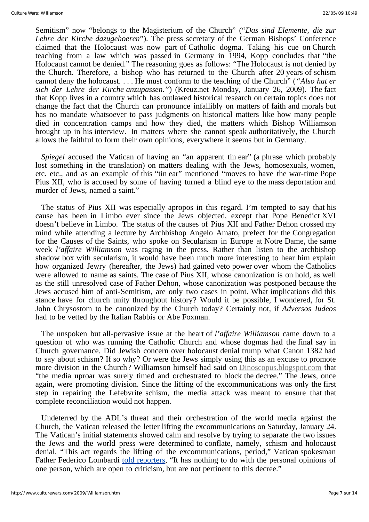Semitism" now "belongs to the Magisterium of the Church" ("*Das sind Elemente, die zur Lehre der Kirche dazugehoeren*"). The press secretary of the German Bishops' Conference claimed that the Holocaust was now part of Catholic dogma. Taking his cue on Church teaching from a law which was passed in Germany in 1994, Kopp concludes that "the Holocaust cannot be denied." The reasoning goes as follows: "The Holocaust is not denied by the Church. Therefore, a bishop who has returned to the Church after 20 years of schism cannot deny the holocaust. . . . He must conform to the teaching of the Church" (*"Also hat er sich der Lehre der Kirche anzupassen."*) (Kreuz.net Monday, January 26, 2009). The fact that Kopp lives in a country which has outlawed historical research on certain topics does not change the fact that the Church can pronounce infallibly on matters of faith and morals but has no mandate whatsoever to pass judgments on historical matters like how many people died in concentration camps and how they died, the matters which Bishop Williamson brought up in his interview. In matters where she cannot speak authoritatively, the Church allows the faithful to form their own opinions, everywhere it seems but in Germany.

*Spiegel* accused the Vatican of having an "an apparent tin ear" (a phrase which probably lost something in the translation) on matters dealing with the Jews, homosexuals, women, etc. etc., and as an example of this "tin ear" mentioned "moves to have the war-time Pope Pius XII, who is accused by some of having turned a blind eye to the mass deportation and murder of Jews, named a saint."

The status of Pius XII was especially apropos in this regard. I'm tempted to say that his cause has been in Limbo ever since the Jews objected, except that Pope Benedict XVI doesn't believe in Limbo. The status of the causes of Pius XII and Father Dehon crossed my mind while attending a lecture by Archbishop Angelo Amato, prefect for the Congregation for the Causes of the Saints, who spoke on Secularism in Europe at Notre Dame, the same week *l'affaire Williamson* was raging in the press. Rather than listen to the archbishop shadow box with secularism, it would have been much more interesting to hear him explain how organized Jewry (hereafter, the Jews) had gained veto power over whom the Catholics were allowed to name as saints. The case of Pius XII, whose canonization is on hold, as well as the still unresolved case of Father Dehon, whose canonization was postponed because the Jews accused him of anti-Semitism, are only two cases in point. What implications did this stance have for church unity throughout history? Would it be possible, I wondered, for St. John Chrysostom to be canonized by the Church today? Certainly not, if *Adversos Iudeos* had to be vetted by the Italian Rabbis or Abe Foxman.

The unspoken but all-pervasive issue at the heart of *l'affaire Williamson* came down to a question of who was running the Catholic Church and whose dogmas had the final say in Church governance. Did Jewish concern over holocaust denial trump what Canon 1382 had to say about schism? If so why? Or were the Jews simply using this as an excuse to promote more division in the Church? Williamson himself had said on Dinoscopus.blogspot.com that "the media uproar was surely timed and orchestrated to block the decree." The Jews, once again, were promoting division. Since the lifting of the excommunications was only the first step in repairing the Lefebvrite schism, the media attack was meant to ensure that that complete reconciliation would not happen.

Undeterred by the ADL's threat and their orchestration of the world media against the Church, the Vatican released the letter lifting the excommunications on Saturday, January 24. The Vatican's initial statements showed calm and resolve by trying to separate the two issues the Jews and the world press were determined to conflate, namely, schism and holocaust denial. "This act regards the lifting of the excommunications, period," Vatican spokesman Father Federico Lombardi told reporters, "It has nothing to do with the personal opinions of one person, which are open to criticism, but are not pertinent to this decree."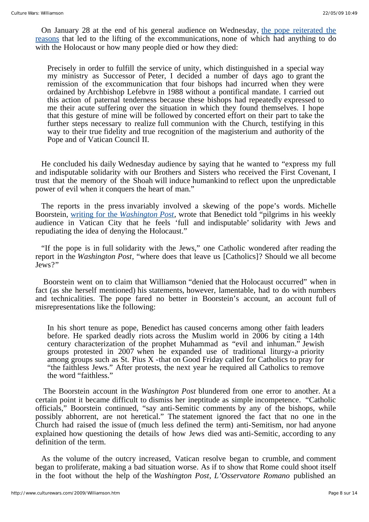On January 28 at the end of his general audience on Wednesday, the pope reiterated the reasons that led to the lifting of the excommunications, none of which had anything to do with the Holocaust or how many people died or how they died:

Precisely in order to fulfill the service of unity, which distinguished in a special way my ministry as Successor of Peter, I decided a number of days ago to grant the remission of the excommunication that four bishops had incurred when they were ordained by Archbishop Lefebvre in 1988 without a pontifical mandate. I carried out this action of paternal tenderness because these bishops had repeatedly expressed to me their acute suffering over the situation in which they found themselves. I hope that this gesture of mine will be followed by concerted effort on their part to take the further steps necessary to realize full communion with the Church, testifying in this way to their true fidelity and true recognition of the magisterium and authority of the Pope and of Vatican Council II.

He concluded his daily Wednesday audience by saying that he wanted to "express my full and indisputable solidarity with our Brothers and Sisters who received the First Covenant, I trust that the memory of the Shoah will induce humankind to reflect upon the unpredictable power of evil when it conquers the heart of man."

The reports in the press invariably involved a skewing of the pope's words. Michelle Boorstein, writing for the *Washington Post*, wrote that Benedict told "pilgrims in his weekly audience in Vatican City that he feels 'full and indisputable' solidarity with Jews and repudiating the idea of denying the Holocaust."

"If the pope is in full solidarity with the Jews," one Catholic wondered after reading the report in the *Washington Post*, "where does that leave us [Catholics]? Should we all become Jews?"

 Boorstein went on to claim that Williamson "denied that the Holocaust occurred" when in fact (as she herself mentioned) his statements, however, lamentable, had to do with numbers and technicalities. The pope fared no better in Boorstein's account, an account full of misrepresentations like the following:

In his short tenure as pope, Benedict has caused concerns among other faith leaders before. He sparked deadly riots across the Muslim world in 2006 by citing a 14th century characterization of the prophet Muhammad as "evil and inhuman." Jewish groups protested in 2007 when he expanded use of traditional liturgy-a priority among groups such as St. Pius X -that on Good Friday called for Catholics to pray for "the faithless Jews." After protests, the next year he required all Catholics to remove the word "faithless."

 The Boorstein account in the *Washington Post* blundered from one error to another. At a certain point it became difficult to dismiss her ineptitude as simple incompetence. "Catholic officials," Boorstein continued, "say anti-Semitic comments by any of the bishops, while possibly abhorrent, are not heretical." The statement ignored the fact that no one in the Church had raised the issue of (much less defined the term) anti-Semitism, nor had anyone explained how questioning the details of how Jews died was anti-Semitic, according to any definition of the term.

As the volume of the outcry increased, Vatican resolve began to crumble, and comment began to proliferate, making a bad situation worse. As if to show that Rome could shoot itself in the foot without the help of the *Washington Post*, *L'Osservatore Romano* published an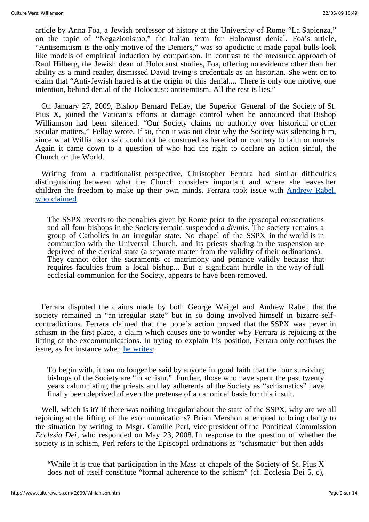article by Anna Foa, a Jewish professor of history at the University of Rome "La Sapienza," on the topic of "Negazionismo," the Italian term for Holocaust denial. Foa's article, "Antisemitism is the only motive of the Deniers," was so apodictic it made papal bulls look like models of empirical induction by comparison. In contrast to the measured approach of Raul Hilberg, the Jewish dean of Holocaust studies, Foa, offering no evidence other than her ability as a mind reader, dismissed David Irving's credentials as an historian. She went on to claim that "Anti-Jewish hatred is at the origin of this denial.... There is only one motive, one intention, behind denial of the Holocaust: antisemtism. All the rest is lies."

On January 27, 2009, Bishop Bernard Fellay, the Superior General of the Society of St. Pius X, joined the Vatican's efforts at damage control when he announced that Bishop Williamson had been silenced. "Our Society claims no authority over historical or other secular matters," Fellay wrote. If so, then it was not clear why the Society was silencing him, since what Williamson said could not be construed as heretical or contrary to faith or morals. Again it came down to a question of who had the right to declare an action sinful, the Church or the World.

Writing from a traditionalist perspective, Christopher Ferrara had similar difficulties distinguishing between what the Church considers important and where she leaves her children the freedom to make up their own minds. Ferrara took issue with Andrew Rabel, who claimed

The SSPX reverts to the penalties given by Rome prior to the episcopal consecrations and all four bishops in the Society remain suspended *a divinis.* The society remains a group of Catholics in an irregular state. No chapel of the SSPX in the world is in communion with the Universal Church, and its priests sharing in the suspension are deprived of the clerical state (a separate matter from the validity of their ordinations). They cannot offer the sacraments of matrimony and penance validly because that requires faculties from a local bishop... But a significant hurdle in the way of full ecclesial communion for the Society, appears to have been removed.

Ferrara disputed the claims made by both George Weigel and Andrew Rabel, that the society remained in "an irregular state" but in so doing involved himself in bizarre selfcontradictions. Ferrara claimed that the pope's action proved that the SSPX was never in schism in the first place, a claim which causes one to wonder why Ferrara is rejoicing at the lifting of the excommunications. In trying to explain his position, Ferrara only confuses the issue, as for instance when he writes:

To begin with, it can no longer be said by anyone in good faith that the four surviving bishops of the Society are "in schism." Further, those who have spent the past twenty years calumniating the priests and lay adherents of the Society as "schismatics" have finally been deprived of even the pretense of a canonical basis for this insult.

Well, which is it? If there was nothing irregular about the state of the SSPX, why are we all rejoicing at the lifting of the exommunications? Brian Mershon attempted to bring clarity to the situation by writing to Msgr. Camille Perl, vice president of the Pontifical Commission *Ecclesia Dei*, who responded on May 23, 2008. In response to the question of whether the society is in schism, Perl refers to the Episcopal ordinations as "schismatic" but then adds

"While it is true that participation in the Mass at chapels of the Society of St. Pius X does not of itself constitute "formal adherence to the schism" (cf. Ecclesia Dei 5, c),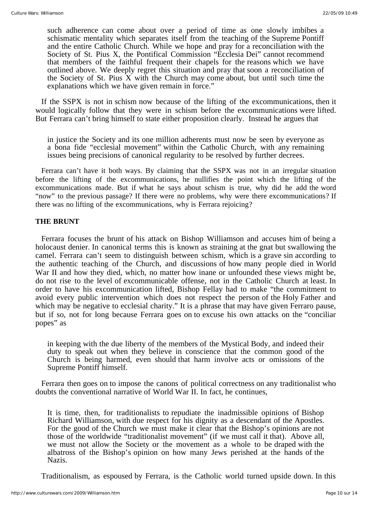such adherence can come about over a period of time as one slowly imbibes a schismatic mentality which separates itself from the teaching of the Supreme Pontiff and the entire Catholic Church. While we hope and pray for a reconciliation with the Society of St. Pius X, the Pontifical Commission "Ecclesia Dei" cannot recommend that members of the faithful frequent their chapels for the reasons which we have outlined above. We deeply regret this situation and pray that soon a reconciliation of the Society of St. Pius  $\overline{X}$  with the Church may come about, but until such time the explanations which we have given remain in force."

 $\mathcal{L}(\mathcal{L}) = \mathcal{L}(\mathcal{L})$  ,  $\mathcal{L}(\mathcal{L}) = \mathcal{L}(\mathcal{L})$  ,  $\mathcal{L}(\mathcal{L}) = \mathcal{L}(\mathcal{L})$  ,  $\mathcal{L}(\mathcal{L}) = \mathcal{L}(\mathcal{L})$ 

If the SSPX is not in schism now because of the lifting of the excommunications, then it would logically follow that they were in schism before the excommunications were lifted. But Ferrara can't bring himself to state either proposition clearly. Instead he argues that

in justice the Society and its one million adherents must now be seen by everyone as a bona fide "ecclesial movement" within the Catholic Church, with any remaining issues being precisions of canonical regularity to be resolved by further decrees.

Ferrara can't have it both ways. By claiming that the SSPX was not in an irregular situation before the lifting of the excommunications, he nullifies the point which the lifting of the excommunications made. But if what he says about schism is true, why did he add the word "now" to the previous passage? If there were no problems, why were there excommunications? If there was no lifting of the excommunications, why is Ferrara rejoicing?

## **THE BRUNT**

Ferrara focuses the brunt of his attack on Bishop Williamson and accuses him of being a holocaust denier. In canonical terms this is known as straining at the gnat but swallowing the camel. Ferrara can't seem to distinguish between schism, which is a grave sin according to the authentic teaching of the Church, and discussions of how many people died in World War II and how they died, which, no matter how inane or unfounded these views might be, do not rise to the level of excommunicable offense, not in the Catholic Church at least. In order to have his excommunication lifted, Bishop Fellay had to make "the commitment to avoid every public intervention which does not respect the person of the Holy Father and which may be negative to ecclesial charity." It is a phrase that may have given Ferraro pause, but if so, not for long because Ferrara goes on to excuse his own attacks on the "conciliar popes" as

in keeping with the due liberty of the members of the Mystical Body, and indeed their duty to speak out when they believe in conscience that the common good of the Church is being harmed, even should that harm involve acts or omissions of the Supreme Pontiff himself.

Ferrara then goes on to impose the canons of political correctness on any traditionalist who doubts the conventional narrative of World War II. In fact, he continues,

It is time, then, for traditionalists to repudiate the inadmissible opinions of Bishop Richard Williamson, with due respect for his dignity as a descendant of the Apostles. For the good of the Church we must make it clear that the Bishop's opinions are not those of the worldwide "traditionalist movement" (if we must call it that). Above all, we must not allow the Society or the movement as a whole to be draped with the albatross of the Bishop's opinion on how many Jews perished at the hands of the Nazis.

Traditionalism, as espoused by Ferrara, is the Catholic world turned upside down. In this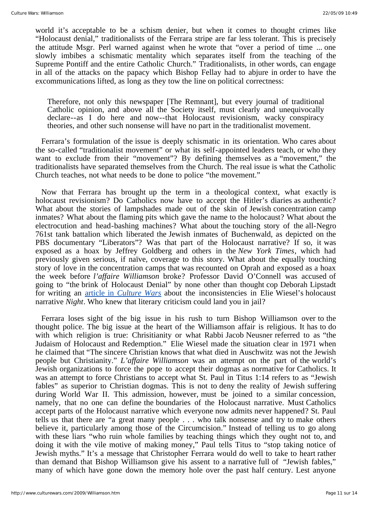world it's acceptable to be a schism denier, but when it comes to thought crimes like "Holocaust denial," traditionalists of the Ferrara stripe are far less tolerant. This is precisely the attitude Msgr. Perl warned against when he wrote that "over a period of time ... one slowly imbibes a schismatic mentality which separates itself from the teaching of the Supreme Pontiff and the entire Catholic Church." Traditionalists, in other words, can engage in all of the attacks on the papacy which Bishop Fellay had to abjure in order to have the excommunications lifted, as long as they tow the line on political correctness:

Therefore, not only this newspaper [The Remnant], but every journal of traditional Catholic opinion, and above all the Society itself, must clearly and unequivocally declare--as I do here and now--that Holocaust revisionism, wacky conspiracy theories, and other such nonsense will have no part in the traditionalist movement.

Ferrara's formulation of the issue is deeply schismatic in its orientation. Who cares about the so-called "traditionalist movement" or what its self-appointed leaders teach, or who they want to exclude from their "movement"? By defining themselves as a "movement," the traditionalists have separated themselves from the Church. The real issue is what the Catholic Church teaches, not what needs to be done to police "the movement."

Now that Ferrara has brought up the term in a theological context, what exactly is holocaust revisionism? Do Catholics now have to accept the Hitler's diaries as authentic? What about the stories of lampshades made out of the skin of Jewish concentration camp inmates? What about the flaming pits which gave the name to the holocaust? What about the electrocution and head-bashing machines? What about the touching story of the all-Negro 761st tank battalion which liberated the Jewish inmates of Buchenwald, as depicted on the PBS documentary "Liberators"? Was that part of the Holocaust narrative? If so, it was exposed as a hoax by Jeffrey Goldberg and others in the *New York Times*, which had previously given serious, if naïve, coverage to this story. What about the equally touching story of love in the concentration camps that was recounted on Oprah and exposed as a hoax the week before *l'affaire Williamson* broke? Professor David O'Connell was accused of going to "the brink of Holocaust Denial" by none other than thought cop Deborah Lipstadt for writing an article in *Culture Wars* about the inconsistencies in Elie Wiesel's holocaust narrative *Night*. Who knew that literary criticism could land you in jail?

Ferrara loses sight of the big issue in his rush to turn Bishop Williamson over to the thought police. The big issue at the heart of the Williamson affair is religious. It has to do with which religion is true: Chrisitianity or what Rabbi Jacob Neusner referred to as "the Judaism of Holocaust and Redemption." Elie Wiesel made the situation clear in 1971 when he claimed that "The sincere Christian knows that what died in Auschwitz was not the Jewish people but Christianity." *L'affaire Williamson* was an attempt on the part of the world's Jewish organizations to force the pope to accept their dogmas as normative for Catholics. It was an attempt to force Christians to accept what St. Paul in Titus 1:14 refers to as "Jewish fables" as superior to Christian dogmas. This is not to deny the reality of Jewish suffering during World War II. This admission, however, must be joined to a similar concession, namely, that no one can define the boundaries of the Holocaust narrative. Must Catholics accept parts of the Holocaust narrative which everyone now admits never happened? St. Paul tells us that there are "a great many people . . . who talk nonsense and try to make others believe it, particularly among those of the Circumcision." Instead of telling us to go along with these liars "who ruin whole families by teaching things which they ought not to, and doing it with the vile motive of making money," Paul tells Titus to "stop taking notice of Jewish myths." It's a message that Christopher Ferrara would do well to take to heart rather than demand that Bishop Williamson give his assent to a narrative full of "Jewish fables," many of which have gone down the memory hole over the past half century. Lest anyone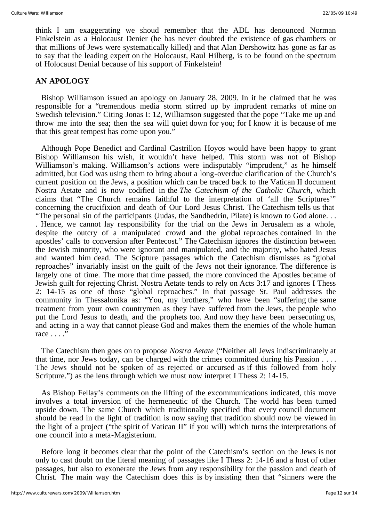think I am exaggerating we shoud remember that the ADL has denounced Norman Finkelstein as a Holocaust Denier (he has never doubted the existence of gas chambers or that millions of Jews were systematically killed) and that Alan Dershowitz has gone as far as to say that the leading expert on the Holocaust, Raul Hilberg, is to be found on the spectrum of Holocaust Denial because of his support of Finkelstein!

## **AN APOLOGY**

Bishop Williamson issued an apology on January 28, 2009. In it he claimed that he was responsible for a "tremendous media storm stirred up by imprudent remarks of mine on Swedish television." Citing Jonas I: 12, Williamson suggested that the pope "Take me up and throw me into the sea; then the sea will quiet down for you; for I know it is because of me that this great tempest has come upon you."

Although Pope Benedict and Cardinal Castrillon Hoyos would have been happy to grant Bishop Williamson his wish, it wouldn't have helped. This storm was not of Bishop Williamson's making. Williamson's actions were indisputably "imprudent," as he himself admitted, but God was using them to bring about a long-overdue clarification of the Church's current position on the Jews, a position which can be traced back to the Vatican II document Nostra Aetate and is now codified in the *The Catechism of the Catholic Church*, which claims that "The Church remains faithful to the interpretation of 'all the Scriptures'" concerning the crucifixion and death of Our Lord Jesus Christ. The Catechism tells us that "The personal sin of the participants (Judas, the Sandhedrin, Pilate) is known to God alone. . . . Hence, we cannot lay responsibility for the trial on the Jews in Jerusalem as a whole, despite the outcry of a manipulated crowd and the global reproaches contained in the apostles' calls to conversion after Pentecost." The Catechism ignores the distinction between the Jewish minority, who were ignorant and manipulated, and the majority, who hated Jesus and wanted him dead. The Scipture passages which the Catechism dismisses as "global reproaches" invariably insist on the guilt of the Jews not their ignorance. The difference is largely one of time. The more that time passed, the more convinced the Apostles became of Jewish guilt for rejecting Christ. Nostra Aetate tends to rely on Acts 3:17 and ignores I Thess 2: 14-15 as one of those "global reproaches." In that passage St. Paul addresses the community in Thessalonika as: "You, my brothers," who have been "suffering the same treatment from your own countrymen as they have suffered from the Jews, the people who put the Lord Jesus to death, and the prophets too. And now they have been persecuting us, and acting in a way that cannot please God and makes them the enemies of the whole human race . . . .<sup>"</sup>

The Catechism then goes on to propose *Nostra Aetate* ("Neither all Jews indiscriminately at that time, nor Jews today, can be charged with the crimes committed during his Passion . . . . The Jews should not be spoken of as rejected or accursed as if this followed from holy Scripture.") as the lens through which we must now interpret I Thess 2: 14-15.

As Bishop Fellay's comments on the lifting of the excommunications indicated, this move involves a total inversion of the hermeneutic of the Church. The world has been turned upside down. The same Church which traditionally specified that every council document should be read in the light of tradition is now saying that tradition should now be viewed in the light of a project ("the spirit of Vatican II" if you will) which turns the interpretations of one council into a meta-Magisterium.

Before long it becomes clear that the point of the Catechism's section on the Jews is not only to cast doubt on the literal meaning of passages like I Thess 2: 14-16 and a host of other passages, but also to exonerate the Jews from any responsibility for the passion and death of Christ. The main way the Catechism does this is by insisting then that "sinners were the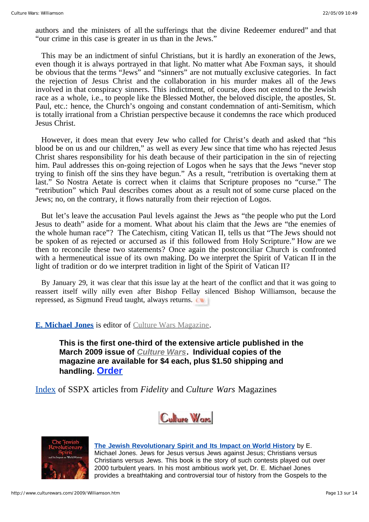authors and the ministers of all the sufferings that the divine Redeemer endured" and that "our crime in this case is greater in us than in the Jews."

This may be an indictment of sinful Christians, but it is hardly an exoneration of the Jews, even though it is always portrayed in that light. No matter what Abe Foxman says, it should be obvious that the terms "Jews" and "sinners" are not mutually exclusive categories. In fact the rejection of Jesus Christ and the collaboration in his murder makes all of the Jews involved in that conspiracy sinners. This indictment, of course, does not extend to the Jewish race as a whole, i.e., to people like the Blessed Mother, the beloved disciple, the apostles, St. Paul, etc.: hence, the Church's ongoing and constant condemnation of anti-Semitism, which is totally irrational from a Christian perspective because it condemns the race which produced Jesus Christ.

However, it does mean that every Jew who called for Christ's death and asked that "his blood be on us and our children," as well as every Jew since that time who has rejected Jesus Christ shares responsibility for his death because of their participation in the sin of rejecting him. Paul addresses this on-going rejection of Logos when he says that the Jews "never stop trying to finish off the sins they have begun." As a result, "retribution is overtaking them at last." So Nostra Aetate is correct when it claims that Scripture proposes no "curse." The "retribution" which Paul describes comes about as a result not of some curse placed on the Jews; no, on the contrary, it flows naturally from their rejection of Logos.

But let's leave the accusation Paul levels against the Jews as "the people who put the Lord Jesus to death" aside for a moment. What about his claim that the Jews are "the enemies of the whole human race"? The Catechism, citing Vatican II, tells us that "The Jews should not be spoken of as rejected or accursed as if this followed from Holy Scripture." How are we then to reconcile these two statements? Once again the postconciliar Church is confronted with a hermeneutical issue of its own making. Do we interpret the Spirit of Vatican II in the light of tradition or do we interpret tradition in light of the Spirit of Vatican II?

By January 29, it was clear that this issue lay at the heart of the conflict and that it was going to reassert itself willy nilly even after Bishop Fellay silenced Bishop Williamson, because the repressed, as Sigmund Freud taught, always returns.

**E. Michael Jones** is editor of Culture Wars Magazine.

**This is the first one-third of the extensive article published in the March 2009 issue of** *Culture Wars***. Individual copies of the magazine are available for \$4 each, plus \$1.50 shipping and handling. Order**

Index of SSPX articles from *Fidelity* and *Culture Wars* Magazines





**The Jewish Revolutionary Spirit and Its Impact on World History** by E. Michael Jones. Jews for Jesus versus Jews against Jesus; Christians versus Christians versus Jews. This book is the story of such contests played out over 2000 turbulent years. In his most ambitious work yet, Dr. E. Michael Jones provides a breathtaking and controversial tour of history from the Gospels to the